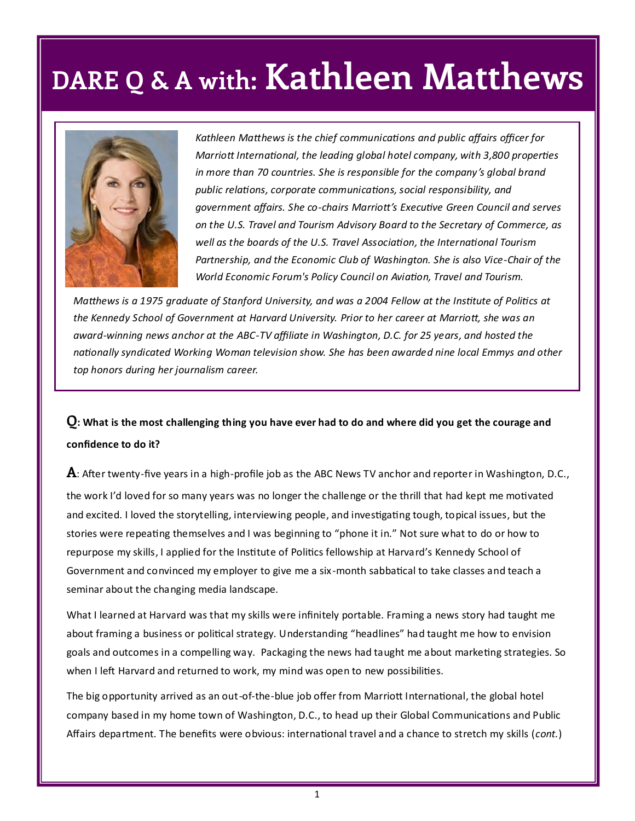

*Kathleen Matthews is the chief communications and public affairs officer for Marriott International, the leading global hotel company, with 3,800 properties in more than 70 countries. She is responsible for the company's global brand public relations, corporate communications, social responsibility, and government affairs. She co-chairs Marriott's Executive Green Council and serves on the U.S. Travel and Tourism Advisory Board to the Secretary of Commerce, as well as the boards of the U.S. Travel Association, the International Tourism Partnership, and the Economic Club of Washington. She is also Vice-Chair of the World Economic Forum's Policy Council on Aviation, Travel and Tourism.*

*Matthews is a 1975 graduate of Stanford University, and was a 2004 Fellow at the Institute of Politics at the Kennedy School of Government at Harvard University. Prior to her career at Marriott, she was an award-winning news anchor at the ABC-TV affiliate in Washington, D.C. for 25 years, and hosted the nationally syndicated Working Woman television show. She has been awarded nine local Emmys and other top honors during her journalism career.*

### **Q: What is the most challenging thing you have ever had to do and where did you get the courage and confidence to do it?**

**A**: After twenty-five years in a high-profile job as the ABC News TV anchor and reporter in Washington, D.C., the work I'd loved for so many years was no longer the challenge or the thrill that had kept me motivated and excited. I loved the storytelling, interviewing people, and investigating tough, topical issues, but the stories were repeating themselves and I was beginning to "phone it in." Not sure what to do or how to repurpose my skills, I applied for the Institute of Politics fellowship at Harvard's Kennedy School of Government and convinced my employer to give me a six -month sabbatical to take classes and teach a seminar about the changing media landscape.

What I learned at Harvard was that my skills were infinitely portable. Framing a news story had taught me about framing a business or political strategy. Understanding "headlines" had taught me how to envision goals and outcomes in a compelling way. Packaging the news had taught me about marketing strategies. So when I left Harvard and returned to work, my mind was open to new possibilities.

The big opportunity arrived as an out-of-the-blue job offer from Marriott International, the global hotel company based in my home town of Washington, D.C., to head up their Global Communications and Public Affairs department. The benefits were obvious: international travel and a chance to stretch my skills (*cont.*)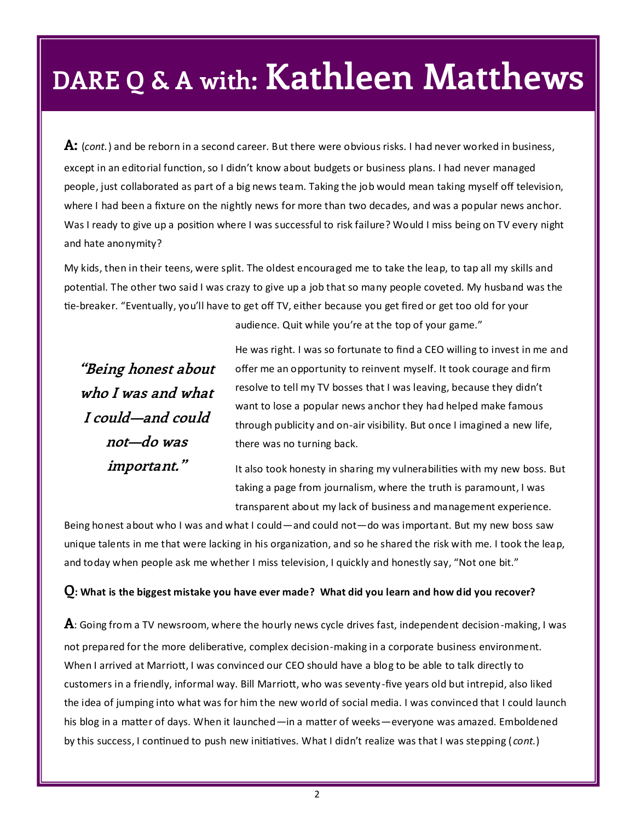**A:** (*cont.*) and be reborn in a second career. But there were obvious risks. I had never worked in business, except in an editorial function, so I didn't know about budgets or business plans. I had never managed people, just collaborated as part of a big news team. Taking the job would mean taking myself off television, where I had been a fixture on the nightly news for more than two decades, and was a popular news anchor. Was I ready to give up a position where I was successful to risk failure? Would I miss being on TV every night and hate anonymity?

My kids, then in their teens, were split. The oldest encouraged me to take the leap, to tap all my skills and potential. The other two said I was crazy to give up a job that so many people coveted. My husband was the tie-breaker. "Eventually, you'll have to get off TV, either because you get fired or get too old for your

audience. Quit while you're at the top of your game."

**"Being honest about who I was and what I could—and could not—do was important."**

He was right. I was so fortunate to find a CEO willing to invest in me and offer me an opportunity to reinvent myself. It took courage and firm resolve to tell my TV bosses that I was leaving, because they didn't want to lose a popular news anchor they had helped make famous through publicity and on-air visibility. But once I imagined a new life, there was no turning back.

It also took honesty in sharing my vulnerabilities with my new boss. But taking a page from journalism, where the truth is paramount, I was transparent about my lack of business and management experience.

Being honest about who I was and what I could—and could not—do was important. But my new boss saw unique talents in me that were lacking in his organization, and so he shared the risk with me. I took the leap, and today when people ask me whether I miss television, I quickly and honestly say, "Not one bit."

#### **Q: What is the biggest mistake you have ever made? What did you learn and how did you recover?**

**A**: Going from a TV newsroom, where the hourly news cycle drives fast, independent decision-making, I was not prepared for the more deliberative, complex decision-making in a corporate business environment. When I arrived at Marriott, I was convinced our CEO should have a blog to be able to talk directly to customers in a friendly, informal way. Bill Marriott, who was seventy-five years old but intrepid, also liked the idea of jumping into what was for him the new world of social media. I was convinced that I could launch his blog in a matter of days. When it launched—in a matter of weeks—everyone was amazed. Emboldened by this success, I continued to push new initiatives. What I didn't realize was that I was stepping ( *cont.*)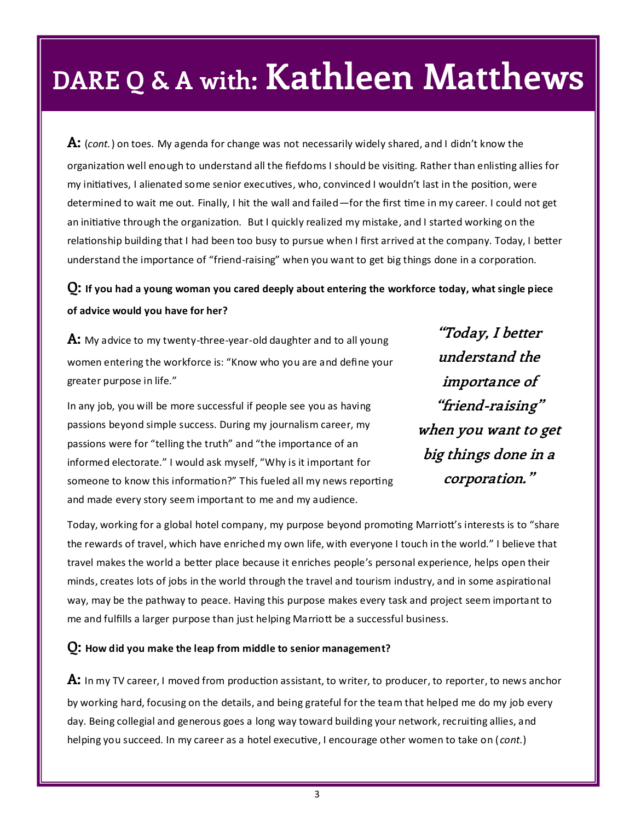**A:** (*cont.*) on toes. My agenda for change was not necessarily widely shared, and I didn't know the organization well enough to understand all the fiefdoms I should be visiting. Rather than enlisting allies for my initiatives, I alienated some senior executives, who, convinced I wouldn't last in the position, were determined to wait me out. Finally, I hit the wall and failed—for the first time in my career. I could not get an initiative through the organization. But I quickly realized my mistake, and I started working on the relationship building that I had been too busy to pursue when I first arrived at the company. Today, I better understand the importance of "friend-raising" when you want to get big things done in a corporation.

**Q: If you had a young woman you cared deeply about entering the workforce today, what single piece of advice would you have for her?**

**A:** My advice to my twenty-three-year-old daughter and to all young women entering the workforce is: "Know who you are and define your greater purpose in life."

In any job, you will be more successful if people see you as having passions beyond simple success. During my journalism career, my passions were for "telling the truth" and "the importance of an informed electorate." I would ask myself, "Why is it important for someone to know this information?" This fueled all my news reporting and made every story seem important to me and my audience.

**"Today, I better understand the importance of "friend-raising" when you want to get big things done in a corporation."**

Today, working for a global hotel company, my purpose beyond promoting Marriott's interests is to "share the rewards of travel, which have enriched my own life, with everyone I touch in the world." I believe that travel makes the world a better place because it enriches people's personal experience, helps open their minds, creates lots of jobs in the world through the travel and tourism industry, and in some aspirational way, may be the pathway to peace. Having this purpose makes every task and project seem important to me and fulfills a larger purpose than just helping Marriott be a successful business.

#### **Q: How did you make the leap from middle to senior management?**

**A:** In my TV career, I moved from production assistant, to writer, to producer, to reporter, to news anchor by working hard, focusing on the details, and being grateful for the team that helped me do my job every day. Being collegial and generous goes a long way toward building your network, recruiting allies, and helping you succeed. In my career as a hotel executive, I encourage other women to take on ( *cont.*)